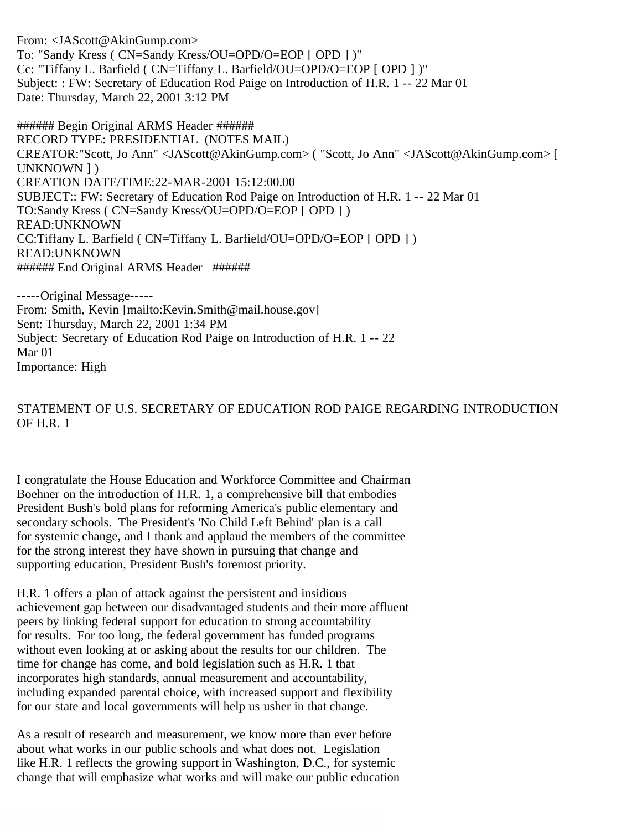From: <JAScott@AkinGump.com> To: "Sandy Kress ( CN=Sandy Kress/OU=OPD/O=EOP [ OPD ] )" Cc: "Tiffany L. Barfield ( CN=Tiffany L. Barfield/OU=OPD/O=EOP [ OPD ] )" Subject: : FW: Secretary of Education Rod Paige on Introduction of H.R. 1 -- 22 Mar 01 Date: Thursday, March 22, 2001 3:12 PM

###### Begin Original ARMS Header ###### RECORD TYPE: PRESIDENTIAL (NOTES MAIL) CREATOR:"Scott, Jo Ann" <JAScott@AkinGump.com> ( "Scott, Jo Ann" <JAScott@AkinGump.com> [ UNKNOWN ] ) CREATION DATE/TIME:22-MAR-2001 15:12:00.00 SUBJECT:: FW: Secretary of Education Rod Paige on Introduction of H.R. 1 -- 22 Mar 01 TO:Sandy Kress ( CN=Sandy Kress/OU=OPD/O=EOP [ OPD ] ) READ:UNKNOWN CC:Tiffany L. Barfield ( CN=Tiffany L. Barfield/OU=OPD/O=EOP [ OPD ] ) READ:UNKNOWN ###### End Original ARMS Header ######

-----Original Message----- From: Smith, Kevin [mailto:Kevin.Smith@mail.house.gov] Sent: Thursday, March 22, 2001 1:34 PM Subject: Secretary of Education Rod Paige on Introduction of H.R. 1 -- 22 Mar 01 Importance: High

STATEMENT OF U.S. SECRETARY OF EDUCATION ROD PAIGE REGARDING INTRODUCTION OF H.R. 1

I congratulate the House Education and Workforce Committee and Chairman Boehner on the introduction of H.R. 1, a comprehensive bill that embodies President Bush's bold plans for reforming America's public elementary and secondary schools. The President's 'No Child Left Behind' plan is a call for systemic change, and I thank and applaud the members of the committee for the strong interest they have shown in pursuing that change and supporting education, President Bush's foremost priority.

H.R. 1 offers a plan of attack against the persistent and insidious achievement gap between our disadvantaged students and their more affluent peers by linking federal support for education to strong accountability for results. For too long, the federal government has funded programs without even looking at or asking about the results for our children. The time for change has come, and bold legislation such as H.R. 1 that incorporates high standards, annual measurement and accountability, including expanded parental choice, with increased support and flexibility for our state and local governments will help us usher in that change.

As a result of research and measurement, we know more than ever before about what works in our public schools and what does not. Legislation like H.R. 1 reflects the growing support in Washington, D.C., for systemic change that will emphasize what works and will make our public education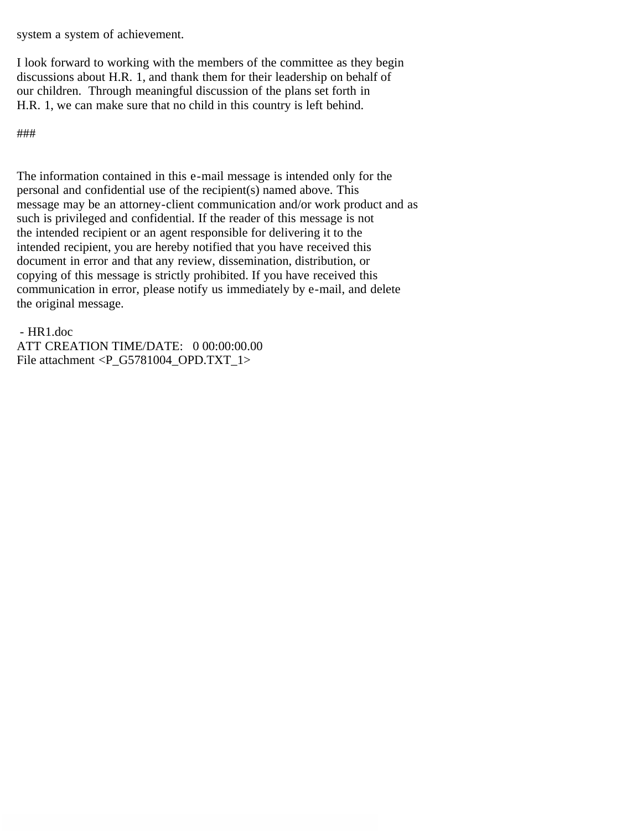system a system of achievement.

I look forward to working with the members of the committee as they begin discussions about H.R. 1, and thank them for their leadership on behalf of our children. Through meaningful discussion of the plans set forth in H.R. 1, we can make sure that no child in this country is left behind.

###

The information contained in this e-mail message is intended only for the personal and confidential use of the recipient(s) named above. This message may be an attorney-client communication and/or work product and as such is privileged and confidential. If the reader of this message is not the intended recipient or an agent responsible for delivering it to the intended recipient, you are hereby notified that you have received this document in error and that any review, dissemination, distribution, or copying of this message is strictly prohibited. If you have received this communication in error, please notify us immediately by e-mail, and delete the original message.

- HR1.doc

ATT CREATION TIME/DATE: 0 00:00:00.00 File attachment <P\_G5781004\_OPD.TXT\_1>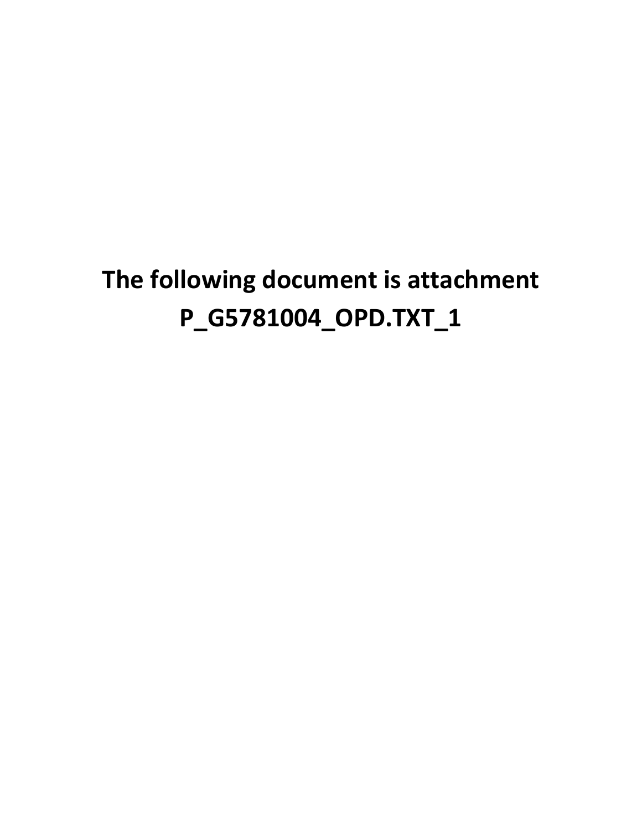## **The following document is attachment P\_G5781004\_OPD.TXT\_1**